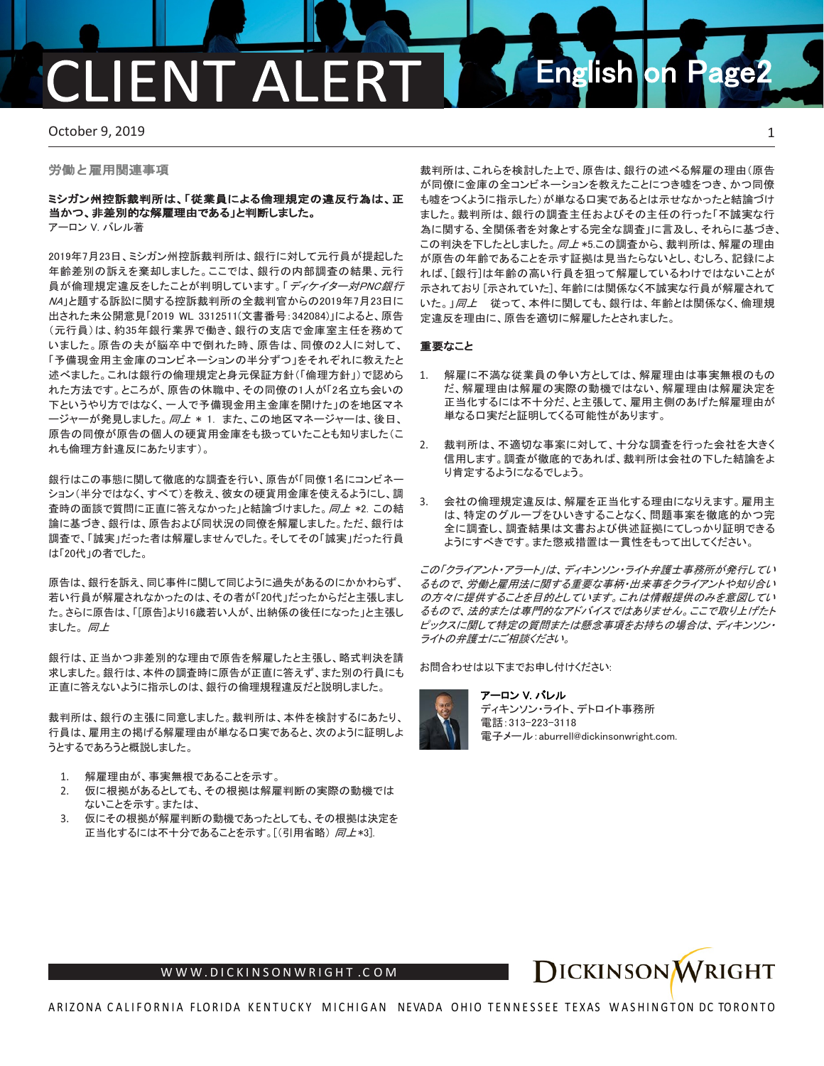# **FNT ALFR English on Page**

October 9, 2019 **1** 

労働と雇用関連事項

### ミシガン州控訴裁判所は、「従業員による倫理規定の違反行為は、正 当かつ、非差別的な解雇理由である」と判断しました。

アーロン V. バレル著

2019年7月23日、ミシガン州控訴裁判所は、銀行に対して元行員が提起した 年齢差別の訴えを棄却しました。ここでは、銀行の内部調査の結果、元行 員が倫理規定違反をしたことが判明しています。「ディケイター対PNC*銀行* NA」と題する訴訟に関する控訴裁判所の全裁判官からの2019年7月23日に 出された未公開意見「2019 WL 3312511(文書番号:342084)」によると、原告 (元行員)は、約35年銀行業界で働き、銀行の支店で金庫室主任を務めて いました。原告の夫が脳卒中で倒れた時、原告は、同僚の2人に対して、 「予備現金用主金庫のコンビネーションの半分ずつ」をそれぞれに教えたと 述べました。これは銀行の倫理規定と身元保証方針(「倫理方針」)で認めら れた方法です。ところが、原告の休職中、その同僚の1人が「2名立ち会いの 下というやり方ではなく、一人で予備現金用主金庫を開けた」のを地区マネ ージャーが発見しました。*同上* \* 1. また、この地区マネージャーは、後日、 原告の同僚が原告の個人の硬貨用金庫をも扱っていたことも知りました(こ れも倫理方針違反にあたります)。

銀行はこの事態に関して徹底的な調査を行い、原告が「同僚1名にコンビネー ション(半分ではなく、すべて)を教え、彼女の硬貨用金庫を使えるようにし、調 査時の面談で質問に正直に答えなかった」と結論づけました。同上 \*2. この結 論に基づき、銀行は、原告および同状況の同僚を解雇しました。ただ、銀行は 調査で、「誠実」だった者は解雇しませんでした。そしてその「誠実」だった行員 は「20代」の者でした。

原告は、銀行を訴え、同じ事件に関して同じように過失があるのにかかわらず、 若い行員が解雇されなかったのは、その者が「20代」だったからだと主張しまし た。さらに原告は、「[原告]より16歳若い人が、出納係の後任になった」と主張し ました。 同上

銀行は、正当かつ非差別的な理由で原告を解雇したと主張し、略式判決を請 求しました。銀行は、本件の調査時に原告が正直に答えず、また別の行員にも 正直に答えないように指示しのは、銀行の倫理規程違反だと説明しました。

裁判所は、銀行の主張に同意しました。裁判所は、本件を検討するにあたり、 行員は、雇用主の掲げる解雇理由が単なる口実であると、次のように証明しよ うとするであろうと概説しました。

- 1. 解雇理由が、事実無根であることを示す。
- 2. 仮に根拠があるとしても、その根拠は解雇判断の実際の動機では ないことを示す。または、
- 3. 仮にその根拠が解雇判断の動機であったとしても、その根拠は決定を 正当化するには不十分であることを示す。[(引用省略) 同上\*3].

裁判所は、これらを検討した上で、原告は、銀行の述べる解雇の理由(原告 が同僚に金庫の全コンビネーションを教えたことにつき嘘をつき、かつ同僚 も嘘をつくように指示した)が単なる口実であるとは示せなかったと結論づけ ました。裁判所は、銀行の調査主任およびその主任の行った「不誠実な行 為に関する、全関係者を対象とする完全な調査」に言及し、それらに基づき、 この判決を下したとしました。 同上 \*5.この調査から、裁判所は、解雇の理由 が原告の年齢であることを示す証拠は見当たらないとし、むしろ、記録によ れば、[銀行]は年齢の高い行員を狙って解雇しているわけではないことが 示されており [示されていた]、年齢には関係なく不誠実な行員が解雇されて いた。」同上 従って、本件に関しても、銀行は、年齢とは関係なく、倫理規 定違反を理由に、原告を適切に解雇したとされました。

#### 重要なこと

- 1. 解雇に不満な従業員の争い方としては、解雇理由は事実無根のもの だ、解雇理由は解雇の実際の動機ではない、解雇理由は解雇決定を 正当化するには不十分だ、と主張して、雇用主側のあげた解雇理由が 単なる口実だと証明してくる可能性があります。
- 2. 裁判所は、不適切な事案に対して、十分な調査を行った会社を大きく 信用します。調査が徹底的であれば、裁判所は会社の下した結論をよ り肯定するようになるでしょう。
- 3. 会社の倫理規定違反は、解雇を正当化する理由になりえます。雇用主 は、特定のグループをひいきすることなく、問題事案を徹底的かつ完 全に調査し、調査結果は文書および供述証拠にてしっかり証明できる ようにすべきです。また懲戒措置は一貫性をもって出してください。

この「クライアント・アラート」は、ディキンソン・ライト弁護士事務所が発行してい るもので、労働と雇用法に関する重要な事柄・出来事をクライアントや知り合い の方々に提供することを目的としています。これは情報提供のみを意図してい るもので、法的または専門的なアドバイスではありません。ここで取り上げたト ピックスに関して特定の質問または懸念事項をお持ちの場合は、ディキンソン・ ライトの弁護士にご相談ください。

お問合わせは以下までお申し付けください:



アーロン V. バレル ディキンソン・ライト、デトロイト事務所 電話:313-223-3118 電子メール:aburrell@dickinsonwright.com.



[W W W .DICKINSONWRIGHT](http://www.dickinsonwright.com/) .C O M

ARIZONA CALIFORNIA FLORIDA KENTUCKY MICHIGAN NEVADA OHIO TENNESSEE TEXAS WASHINGTON DC TORONTO